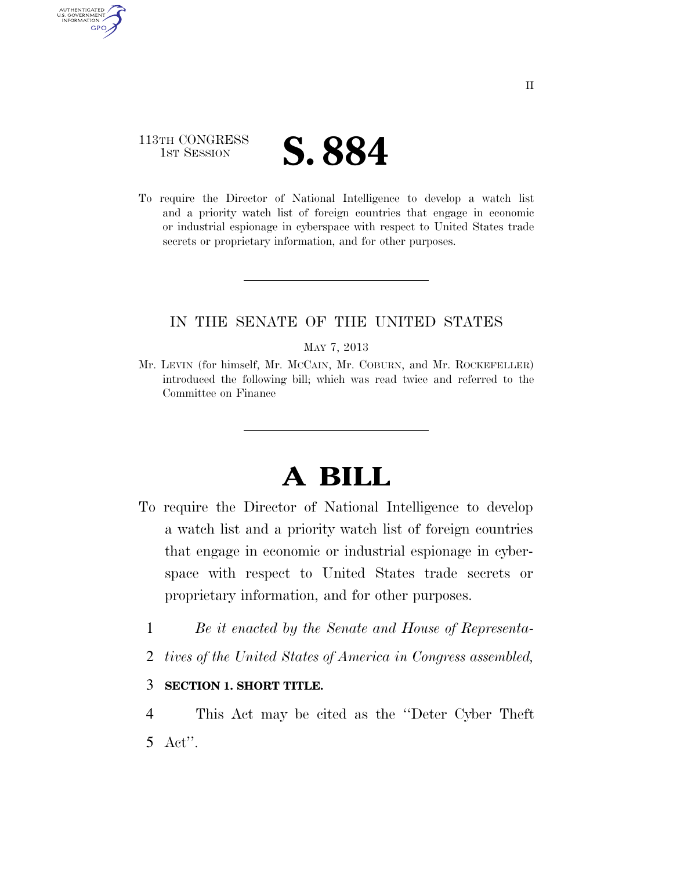# 113TH CONGRESS **1ST SESSION S. 884**

AUTHENTICATED U.S. GOVERNMENT **GPO** 

> To require the Director of National Intelligence to develop a watch list and a priority watch list of foreign countries that engage in economic or industrial espionage in cyberspace with respect to United States trade secrets or proprietary information, and for other purposes.

## IN THE SENATE OF THE UNITED STATES

#### MAY 7, 2013

Mr. LEVIN (for himself, Mr. MCCAIN, Mr. COBURN, and Mr. ROCKEFELLER) introduced the following bill; which was read twice and referred to the Committee on Finance

# **A BILL**

- To require the Director of National Intelligence to develop a watch list and a priority watch list of foreign countries that engage in economic or industrial espionage in cyberspace with respect to United States trade secrets or proprietary information, and for other purposes.
	- 1 *Be it enacted by the Senate and House of Representa-*
	- 2 *tives of the United States of America in Congress assembled,*

### 3 **SECTION 1. SHORT TITLE.**

4 This Act may be cited as the ''Deter Cyber Theft 5 Act''.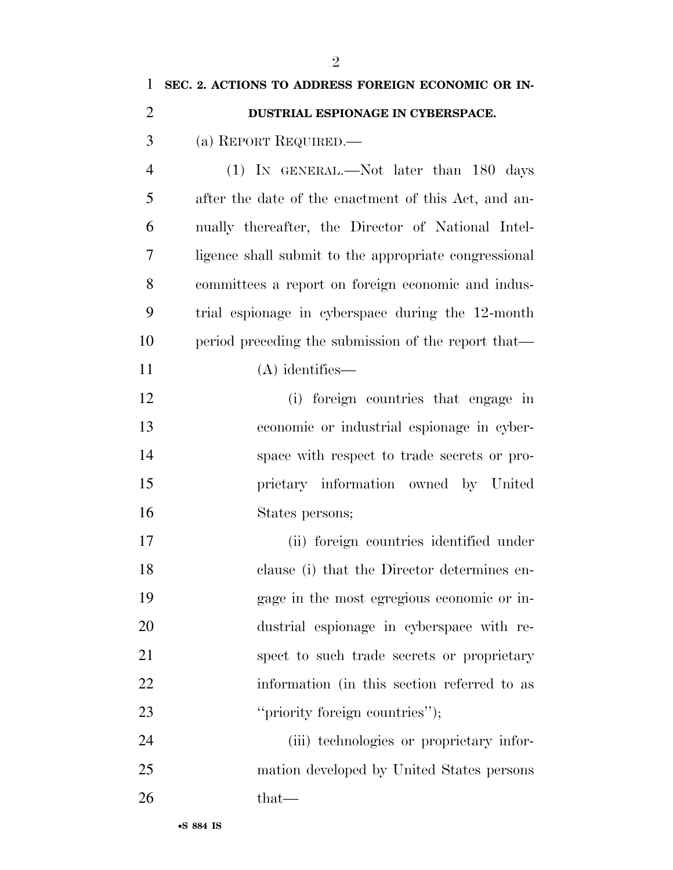| 1              | SEC. 2. ACTIONS TO ADDRESS FOREIGN ECONOMIC OR IN-    |
|----------------|-------------------------------------------------------|
| $\overline{2}$ | DUSTRIAL ESPIONAGE IN CYBERSPACE.                     |
| 3              | (a) REPORT REQUIRED.—                                 |
| $\overline{4}$ | $(1)$ IN GENERAL.—Not later than 180 days             |
| 5              | after the date of the enactment of this Act, and an-  |
| 6              | nually thereafter, the Director of National Intel-    |
| 7              | ligence shall submit to the appropriate congressional |
| 8              | committees a report on foreign economic and indus-    |
| 9              | trial espionage in cyberspace during the 12-month     |
| 10             | period preceding the submission of the report that—   |
| 11             | $(A)$ identifies—                                     |
| 12             | (i) foreign countries that engage in                  |
| 13             | economic or industrial espionage in cyber-            |
| 14             | space with respect to trade secrets or pro-           |
| 15             | prietary information owned by United                  |
| 16             | States persons;                                       |
| 17             | (ii) foreign countries identified under               |
| 18             | clause (i) that the Director determines en-           |
| 19             | gage in the most egregious economic or in-            |
| 20             | dustrial espionage in cyberspace with re-             |
| 21             | spect to such trade secrets or proprietary            |
| 22             | information (in this section referred to as           |
| 23             | "priority foreign countries");                        |
| 24             | (iii) technologies or proprietary infor-              |
| 25             | mation developed by United States persons             |
| 26             | that—                                                 |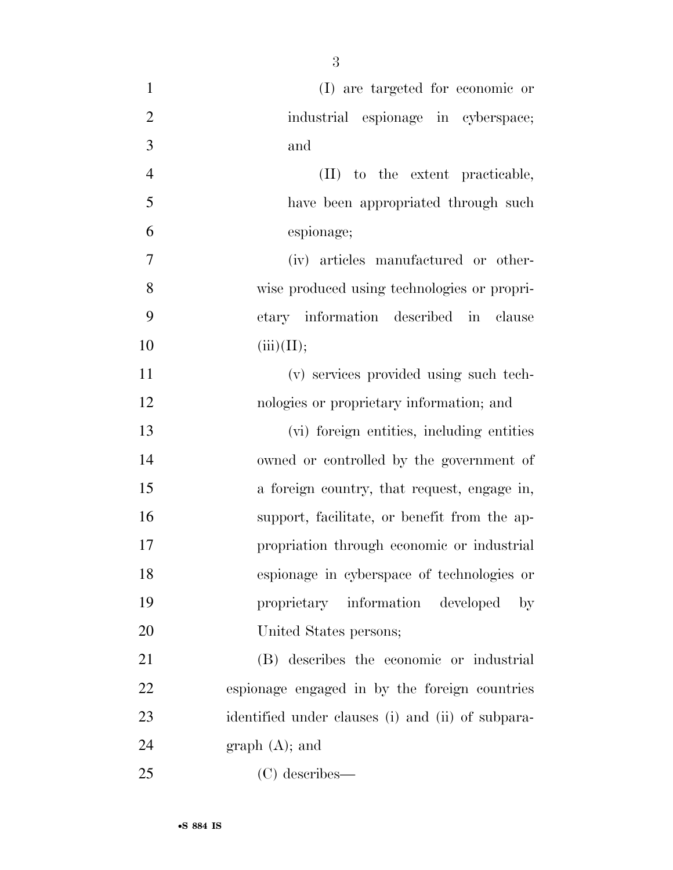| $\mathbf{1}$   | (I) are targeted for economic or                  |
|----------------|---------------------------------------------------|
| $\overline{2}$ | industrial espionage in cyberspace;               |
| 3              | and                                               |
| $\overline{4}$ | (II) to the extent practicable,                   |
| 5              | have been appropriated through such               |
| 6              | espionage;                                        |
| 7              | (iv) articles manufactured or other-              |
| 8              | wise produced using technologies or propri-       |
| 9              | etary information described in clause             |
| 10             | (iii)(II);                                        |
| 11             | (v) services provided using such tech-            |
| 12             | nologies or proprietary information; and          |
| 13             | (vi) foreign entities, including entities         |
| 14             | owned or controlled by the government of          |
| 15             | a foreign country, that request, engage in,       |
| 16             | support, facilitate, or benefit from the ap-      |
| 17             | propriation through economic or industrial        |
| 18             | espionage in cyberspace of technologies or        |
| 19             | proprietary information developed<br>$_{\rm by}$  |
| 20             | United States persons;                            |
| 21             | (B) describes the economic or industrial          |
| 22             | espionage engaged in by the foreign countries     |
| 23             | identified under clauses (i) and (ii) of subpara- |
| 24             | $graph(A);$ and                                   |
| 25             | $(C)$ describes—                                  |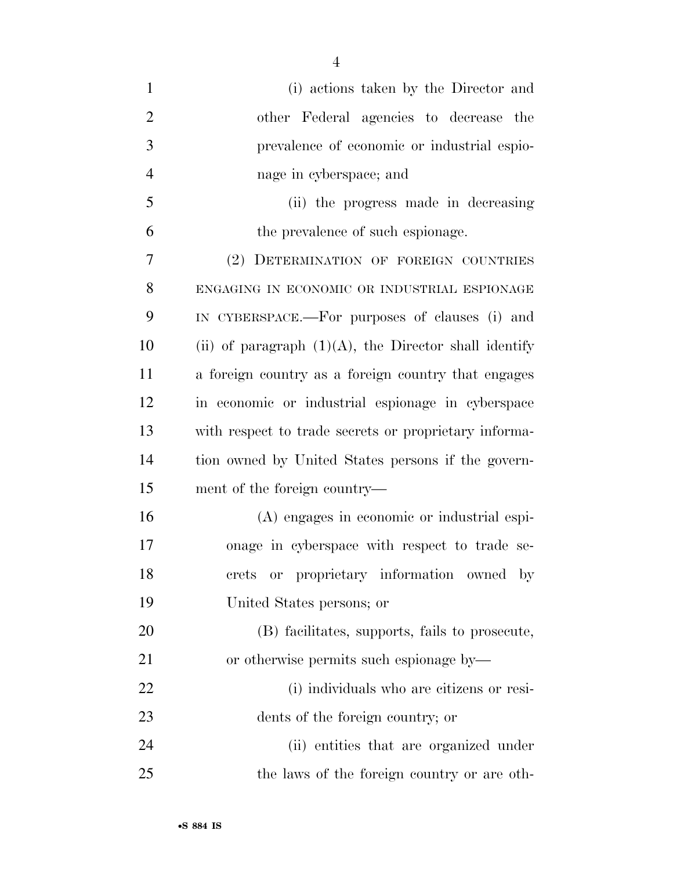| $\mathbf{1}$   | (i) actions taken by the Director and                    |
|----------------|----------------------------------------------------------|
| $\overline{2}$ | other Federal agencies to decrease the                   |
| 3              | prevalence of economic or industrial espio-              |
| $\overline{4}$ | nage in cyberspace; and                                  |
| 5              | (ii) the progress made in decreasing                     |
| 6              | the prevalence of such espionage.                        |
| 7              | (2) DETERMINATION OF FOREIGN COUNTRIES                   |
| 8              | ENGAGING IN ECONOMIC OR INDUSTRIAL ESPIONAGE             |
| 9              | IN CYBERSPACE.—For purposes of clauses (i) and           |
| 10             | (ii) of paragraph $(1)(A)$ , the Director shall identify |
| 11             | a foreign country as a foreign country that engages      |
| 12             | in economic or industrial espionage in cyberspace        |
| 13             | with respect to trade secrets or proprietary informa-    |
| 14             | tion owned by United States persons if the govern-       |
| 15             | ment of the foreign country—                             |
| 16             | (A) engages in economic or industrial espi-              |
| 17             | onage in cyberspace with respect to trade se-            |
| 18             | crets or proprietary information owned by                |
| 19             | United States persons; or                                |
| 20             | (B) facilitates, supports, fails to prosecute,           |
| 21             | or otherwise permits such espionage by—                  |
| 22             | (i) individuals who are citizens or resi-                |
| 23             | dents of the foreign country; or                         |
| 24             | (ii) entities that are organized under                   |
| 25             | the laws of the foreign country or are oth-              |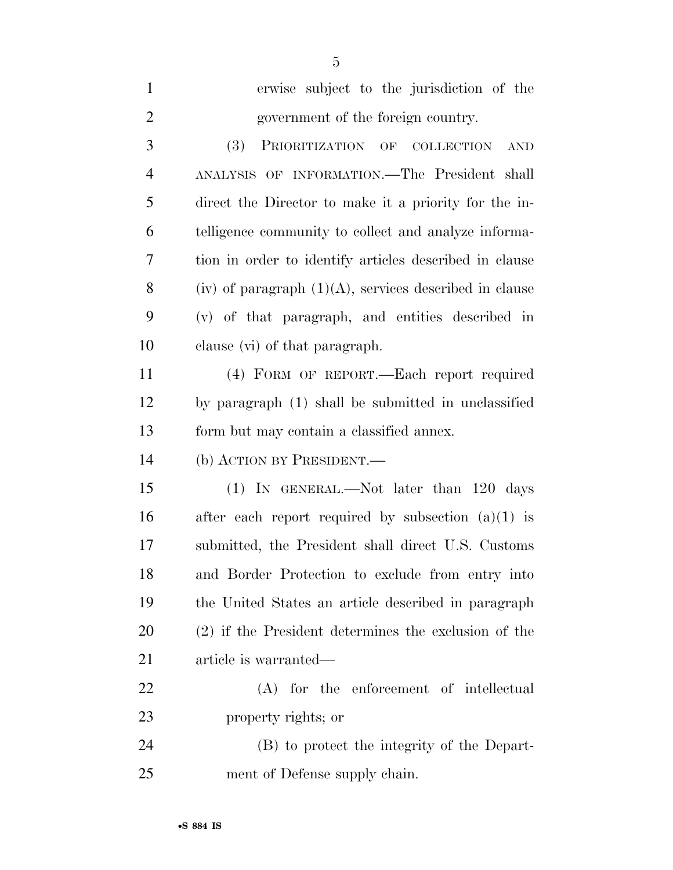| $\mathbf{1}$   | erwise subject to the jurisdiction of the                 |
|----------------|-----------------------------------------------------------|
| $\overline{2}$ | government of the foreign country.                        |
| 3              | (3)<br>PRIORITIZATION OF COLLECTION<br><b>AND</b>         |
| $\overline{4}$ | ANALYSIS OF INFORMATION.-The President shall              |
| 5              | direct the Director to make it a priority for the in-     |
| 6              | telligence community to collect and analyze informa-      |
| 7              | tion in order to identify articles described in clause    |
| 8              | (iv) of paragraph $(1)(A)$ , services described in clause |
| 9              | (v) of that paragraph, and entities described in          |
| 10             | clause (vi) of that paragraph.                            |
| 11             | (4) FORM OF REPORT.—Each report required                  |
| 12             | by paragraph (1) shall be submitted in unclassified       |
| 13             | form but may contain a classified annex.                  |
| 14             | (b) ACTION BY PRESIDENT.—                                 |
| 15             | (1) IN GENERAL.—Not later than 120 days                   |
| 16             | after each report required by subsection $(a)(1)$ is      |
| 17             | submitted, the President shall direct U.S. Customs        |
| 18             | and Border Protection to exclude from entry into          |
| 19             | the United States an article described in paragraph       |
| 20             | (2) if the President determines the exclusion of the      |
| 21             | article is warranted—                                     |
| 22             | (A) for the enforcement of intellectual                   |
| 23             | property rights; or                                       |
| 24             | (B) to protect the integrity of the Depart-               |
| 25             | ment of Defense supply chain.                             |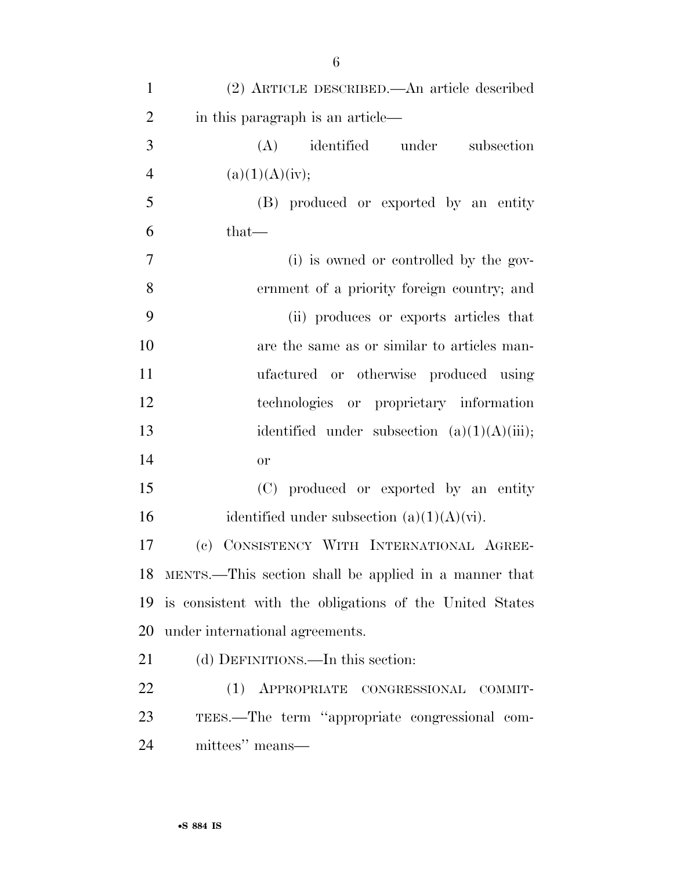| $\mathbf{1}$   | (2) ARTICLE DESCRIBED.—An article described              |
|----------------|----------------------------------------------------------|
| $\overline{2}$ | in this paragraph is an article—                         |
| 3              | identified under subsection<br>(A)                       |
| $\overline{4}$ | (a)(1)(A)(iv);                                           |
| 5              | (B) produced or exported by an entity                    |
| 6              | $that-$                                                  |
| $\overline{7}$ | (i) is owned or controlled by the gov-                   |
| 8              | ernment of a priority foreign country; and               |
| 9              | (ii) produces or exports articles that                   |
| 10             | are the same as or similar to articles man-              |
| 11             | ufactured or otherwise produced using                    |
| 12             | technologies or proprietary information                  |
| 13             | identified under subsection $(a)(1)(A)(iii)$ ;           |
| 14             | or                                                       |
| 15             | (C) produced or exported by an entity                    |
| 16             | identified under subsection $(a)(1)(A)(\dot{v})$ .       |
| 17             | CONSISTENCY WITH INTERNATIONAL AGREE-<br>(e)             |
|                | 18 MENTS.—This section shall be applied in a manner that |
| 19             | is consistent with the obligations of the United States  |
| 20             | under international agreements.                          |
| 21             | (d) DEFINITIONS.—In this section:                        |
| 22             | (1) APPROPRIATE CONGRESSIONAL COMMIT-                    |
| 23             | TEES.—The term "appropriate congressional com-           |
| 24             | mittees" means—                                          |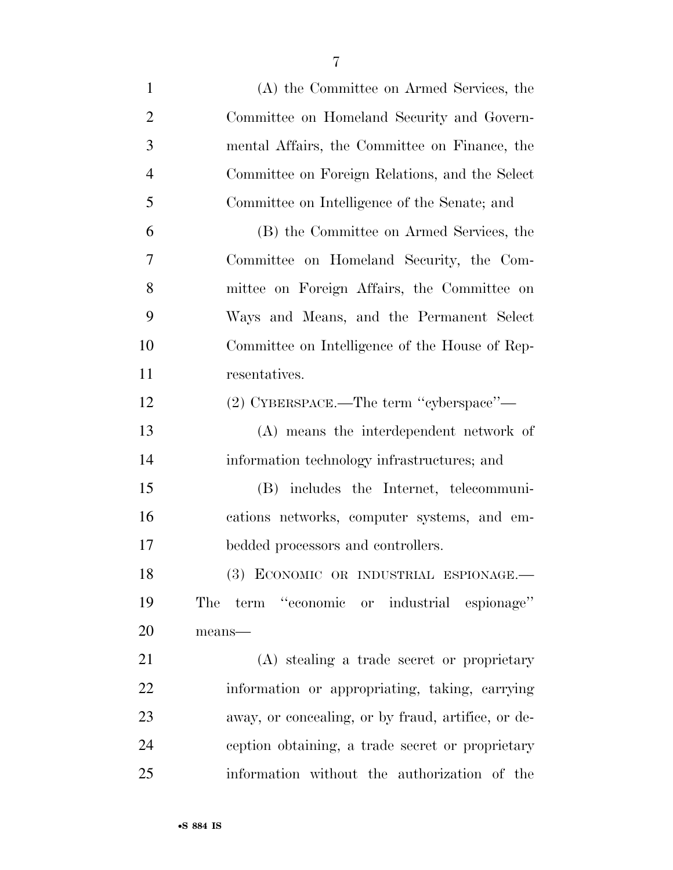| $\mathbf{1}$   | (A) the Committee on Armed Services, the           |
|----------------|----------------------------------------------------|
| $\overline{2}$ | Committee on Homeland Security and Govern-         |
| 3              | mental Affairs, the Committee on Finance, the      |
| $\overline{4}$ | Committee on Foreign Relations, and the Select     |
| 5              | Committee on Intelligence of the Senate; and       |
| 6              | (B) the Committee on Armed Services, the           |
| $\overline{7}$ | Committee on Homeland Security, the Com-           |
| 8              | mittee on Foreign Affairs, the Committee on        |
| 9              | Ways and Means, and the Permanent Select           |
| 10             | Committee on Intelligence of the House of Rep-     |
| 11             | resentatives.                                      |
| 12             | (2) CYBERSPACE.—The term "cyberspace"—             |
| 13             | (A) means the interdependent network of            |
| 14             | information technology infrastructures; and        |
| 15             | (B) includes the Internet, telecommuni-            |
| 16             | cations networks, computer systems, and em-        |
| 17             | bedded processors and controllers.                 |
| 18             | (3) ECONOMIC OR INDUSTRIAL ESPIONAGE.-             |
| 19             | The term "economic or industrial espionage"        |
| 20             | means-                                             |
| 21             | (A) stealing a trade secret or proprietary         |
| 22             | information or appropriating, taking, carrying     |
| 23             | away, or concealing, or by fraud, artifice, or de- |
| 24             | ception obtaining, a trade secret or proprietary   |
| 25             | information without the authorization of the       |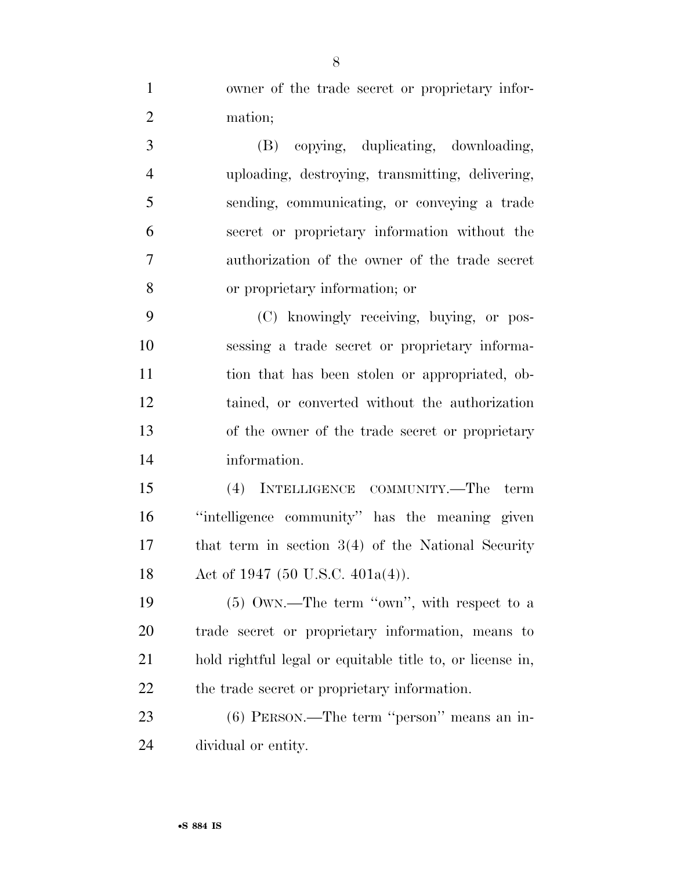owner of the trade secret or proprietary infor-mation;

 (B) copying, duplicating, downloading, uploading, destroying, transmitting, delivering, sending, communicating, or conveying a trade secret or proprietary information without the authorization of the owner of the trade secret or proprietary information; or

 (C) knowingly receiving, buying, or pos- sessing a trade secret or proprietary informa- tion that has been stolen or appropriated, ob- tained, or converted without the authorization of the owner of the trade secret or proprietary information.

 (4) INTELLIGENCE COMMUNITY.—The term ''intelligence community'' has the meaning given that term in section 3(4) of the National Security 18 Act of 1947 (50 U.S.C. 401a(4)).

19 (5) OWN.—The term "own", with respect to a trade secret or proprietary information, means to hold rightful legal or equitable title to, or license in, the trade secret or proprietary information.

 (6) PERSON.—The term ''person'' means an in-dividual or entity.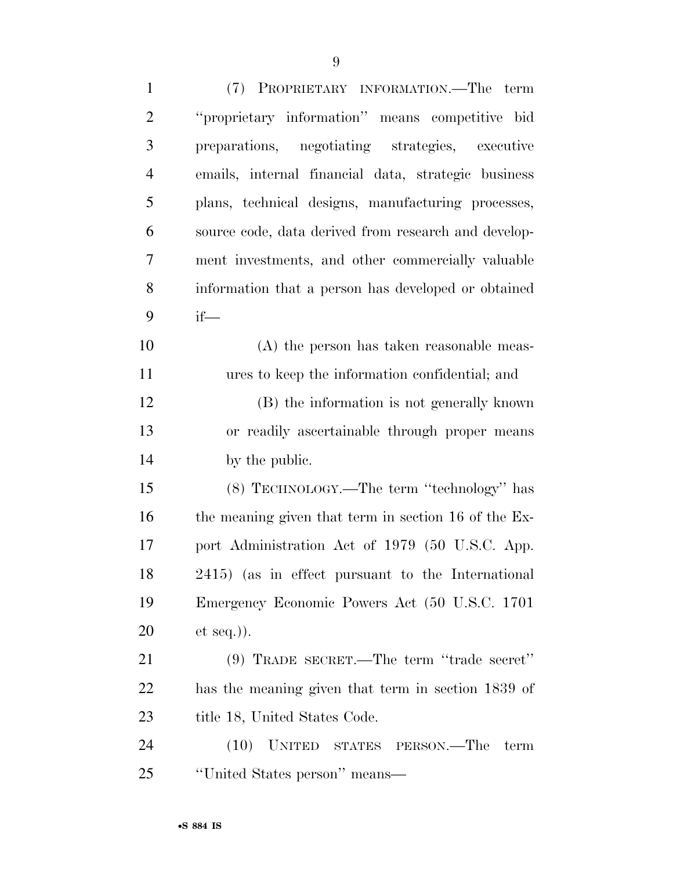| $\mathbf{1}$   | (7) PROPRIETARY INFORMATION.—The term                |
|----------------|------------------------------------------------------|
| $\overline{2}$ | "proprietary information" means competitive bid      |
| 3              | preparations, negotiating strategies, executive      |
| $\overline{4}$ | emails, internal financial data, strategic business  |
| 5              | plans, technical designs, manufacturing processes,   |
| 6              | source code, data derived from research and develop- |
| 7              | ment investments, and other commercially valuable    |
| 8              | information that a person has developed or obtained  |
| 9              | $if$ —                                               |
| 10             | (A) the person has taken reasonable meas-            |
| 11             | ures to keep the information confidential; and       |
| 12             | (B) the information is not generally known           |
| 13             | or readily ascertainable through proper means        |
| 14             | by the public.                                       |
| 15             | (8) TECHNOLOGY.—The term "technology" has            |
| 16             | the meaning given that term in section 16 of the Ex- |
| 17             | port Administration Act of 1979 (50 U.S.C. App.      |
| 18             | 2415) (as in effect pursuant to the International    |
| 19             | Emergency Economic Powers Act (50 U.S.C. 1701        |
| 20             | $et seq.$ ).                                         |
| 21             | $(9)$ TRADE SECRET.—The term "trade secret"          |
| 22             | has the meaning given that term in section 1839 of   |
| 23             | title 18, United States Code.                        |
| 24             | (10)<br>UNITED STATES PERSON.—The<br>term            |
| 25             | "United States person" means—                        |